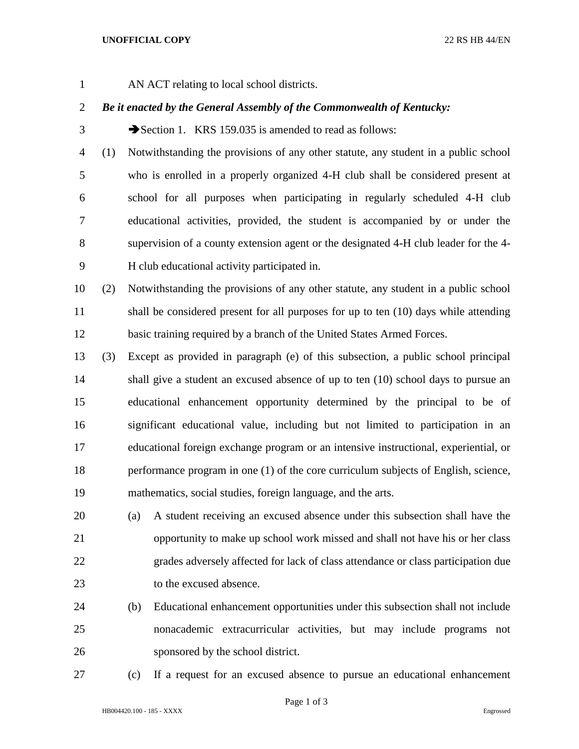## **UNOFFICIAL COPY** 22 RS HB 44/EN

- 
- AN ACT relating to local school districts.

## *Be it enacted by the General Assembly of the Commonwealth of Kentucky:*

3 Section 1. KRS 159.035 is amended to read as follows:

- (1) Notwithstanding the provisions of any other statute, any student in a public school who is enrolled in a properly organized 4-H club shall be considered present at school for all purposes when participating in regularly scheduled 4-H club educational activities, provided, the student is accompanied by or under the supervision of a county extension agent or the designated 4-H club leader for the 4- H club educational activity participated in.
- (2) Notwithstanding the provisions of any other statute, any student in a public school 11 shall be considered present for all purposes for up to ten (10) days while attending basic training required by a branch of the United States Armed Forces.
- (3) Except as provided in paragraph (e) of this subsection, a public school principal shall give a student an excused absence of up to ten (10) school days to pursue an educational enhancement opportunity determined by the principal to be of significant educational value, including but not limited to participation in an educational foreign exchange program or an intensive instructional, experiential, or performance program in one (1) of the core curriculum subjects of English, science, mathematics, social studies, foreign language, and the arts.
- (a) A student receiving an excused absence under this subsection shall have the opportunity to make up school work missed and shall not have his or her class grades adversely affected for lack of class attendance or class participation due to the excused absence.
- (b) Educational enhancement opportunities under this subsection shall not include nonacademic extracurricular activities, but may include programs not sponsored by the school district.
- 

(c) If a request for an excused absence to pursue an educational enhancement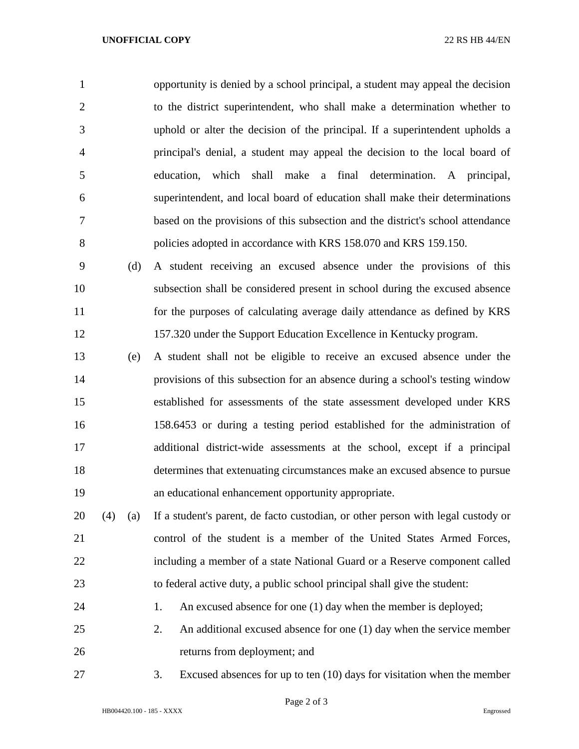opportunity is denied by a school principal, a student may appeal the decision to the district superintendent, who shall make a determination whether to uphold or alter the decision of the principal. If a superintendent upholds a principal's denial, a student may appeal the decision to the local board of education, which shall make a final determination. A principal, superintendent, and local board of education shall make their determinations based on the provisions of this subsection and the district's school attendance policies adopted in accordance with KRS 158.070 and KRS 159.150.

 (d) A student receiving an excused absence under the provisions of this subsection shall be considered present in school during the excused absence for the purposes of calculating average daily attendance as defined by KRS 157.320 under the Support Education Excellence in Kentucky program.

 (e) A student shall not be eligible to receive an excused absence under the provisions of this subsection for an absence during a school's testing window established for assessments of the state assessment developed under KRS 158.6453 or during a testing period established for the administration of additional district-wide assessments at the school, except if a principal determines that extenuating circumstances make an excused absence to pursue an educational enhancement opportunity appropriate.

 (4) (a) If a student's parent, de facto custodian, or other person with legal custody or control of the student is a member of the United States Armed Forces, including a member of a state National Guard or a Reserve component called to federal active duty, a public school principal shall give the student:

24 1. An excused absence for one (1) day when the member is deployed;

 2. An additional excused absence for one (1) day when the service member returns from deployment; and

3. Excused absences for up to ten (10) days for visitation when the member